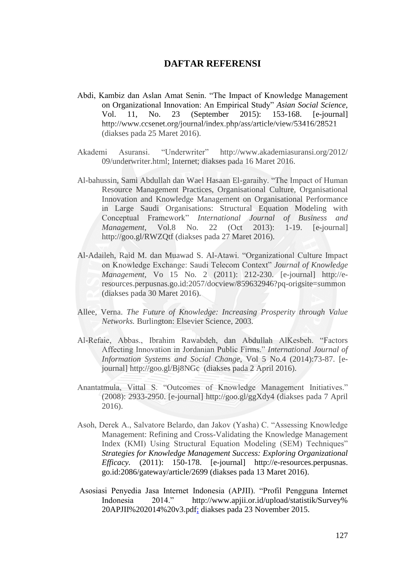## **DAFTAR REFERENSI**

- Abdi, Kambiz dan Aslan Amat Senin. "The Impact of Knowledge Management on Organizational Innovation: An Empirical Study" *Asian Social Science,* Vol. 11, No. 23 (September 2015): 153-168. [e-journal] http://www.ccsenet.org/journal/index.php/ass/article/view/53416/28521 (diakses pada 25 Maret 2016).
- Akademi Asuransi. "Underwriter" http://www.akademiasuransi.org/2012/ 09/underwriter.html; Internet; diakses pada 16 Maret 2016.
- Al-bahussin, Sami Abdullah dan Wael Hasaan El-garaihy. "The Impact of Human Resource Management Practices, Organisational Culture, Organisational Innovation and Knowledge Management on Organisational Performance in Large Saudi Organisations: Structural Equation Modeling with Conceptual Framework" *International Journal of Business and Management,* Vol.8 No. 22 (Oct 2013): 1-19. [e-journal] http://goo.gl/RWZQtf (diakses pada 27 Maret 2016).
- Al-Adaileh, Raid M. dan Muawad S. Al-Atawi. "Organizational Culture Impact on Knowledge Exchange: Saudi Telecom Context" *Journal of Knowledge Management,* Vo 15 No. 2 (2011): 212-230. [e-journal] http://eresources.perpusnas.go.id:2057/docview/859632946?pq-origsite=summon (diakses pada 30 Maret 2016).
- Allee, Verna. *The Future of Knowledge: Increasing Prosperity through Value Networks.* Burlington: Elsevier Science, 2003.
- Al-Refaie, Abbas., Ibrahim Rawabdeh, dan Abdullah AlKesbeh. "Factors Affecting Innovation in Jordanian Public Firms." *International Journal of Information Systems and Social Change,* Vol 5 No.4 (2014):73-87. [ejournal] http://goo.gl/Bj8NGc (diakses pada 2 April 2016).
- Anantatmula, Vittal S. "Outcomes of Knowledge Management Initiatives." (2008): 2933-2950. [e-journal] http://goo.gl/ggXdy4 (diakses pada 7 April 2016).
- Asoh, Derek A., Salvatore Belardo, dan Jakov (Yasha) C. "Assessing Knowledge Management: Refining and Cross-Validating the Knowledge Management Index (KMI) Using Structural Equation Modeling (SEM) Techniques" *Strategies for Knowledge Management Success: Exploring Organizational Efficacy.* (2011): 150-178. [e-journal] http://e-resources.perpusnas. go.id:2086/gateway/article/2699 (diakses pada 13 Maret 2016).
- Asosiasi Penyedia Jasa Internet Indonesia (APJII). "Profil Pengguna Internet Indonesia 2014." http://www.apjii.or.id/upload/statistik/Survey% 20APJII%202014%20v3.pdf; diakses pada 23 November 2015.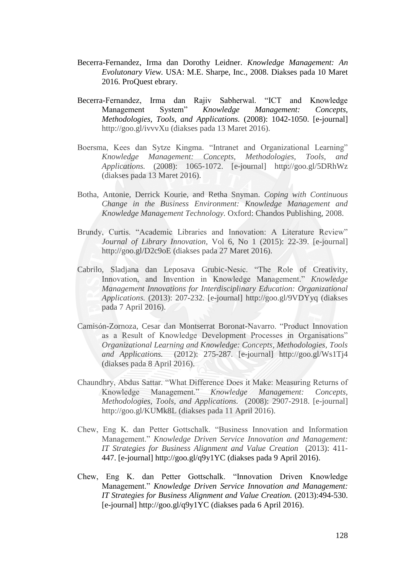- Becerra-Fernandez, Irma dan Dorothy Leidner. *Knowledge Management: An Evolutonary View.* USA: M.E. Sharpe, Inc., 2008. Diakses pada 10 Maret 2016. ProQuest ebrary.
- Becerra-Fernandez, Irma dan Rajiv Sabherwal. "ICT and Knowledge Management System" *Knowledge Management: Concepts, Methodologies, Tools, and Applications.* (2008): 1042-1050. [e-journal] http://goo.gl/ivvvXu (diakses pada 13 Maret 2016).
- Boersma, Kees dan Sytze Kingma. "Intranet and Organizational Learning" *Knowledge Management: Concepts, Methodologies, Tools, and Applications.* (2008): 1065-1072. [e-journal] http://goo.gl/5DRhWz (diakses pada 13 Maret 2016).
- Botha, Antonie, Derrick Kourie, and Retha Snyman. *Coping with Continuous Change in the Business Environment: Knowledge Management and Knowledge Management Technology.* Oxford: Chandos Publishing, 2008.
- Brundy, Curtis. "Academic Libraries and Innovation: A Literature Review" *Journal of Library Innovation,* Vol 6, No 1 (2015): 22-39. [e-journal] http://goo.gl/D2c9oE (diakses pada 27 Maret 2016).
- Cabrilo, Sladjana dan Leposava Grubic-Nesic. "The Role of Creativity, Innovation, and Invention in Knowledge Management." *Knowledge Management Innovations for Interdisciplinary Education: Organizational Applications.* (2013): 207-232. [e-journal] http://goo.gl/9VDYyq (diakses pada 7 April 2016).
- Camisón-Zornoza, Cesar dan Montserrat Boronat-Navarro. "Product Innovation as a Result of Knowledge Development Processes in Organisations" *Organizational Learning and Knowledge: Concepts, Methodologies, Tools and Applications.* (2012): 275-287. [e-journal] http://goo.gl/Ws1Tj4 (diakses pada 8 April 2016).
- Chaundhry, Abdus Sattar. "What Difference Does it Make: Measuring Returns of Knowledge Management." *Knowledge Management: Concepts, Methodologies, Tools, and Applications.* (2008): 2907-2918. [e-journal] http://goo.gl/KUMk8L (diakses pada 11 April 2016).
- Chew, Eng K. dan Petter Gottschalk. "Business Innovation and Information Management." *Knowledge Driven Service Innovation and Management: IT Strategies for Business Alignment and Value Creation* (2013): 411- 447. [e-journal] http://goo.gl/q9y1YC (diakses pada 9 April 2016).
- Chew, Eng K. dan Petter Gottschalk. "Innovation Driven Knowledge Management." *Knowledge Driven Service Innovation and Management: IT Strategies for Business Alignment and Value Creation.* (2013):494-530. [e-journal] http://goo.gl/q9y1YC (diakses pada 6 April 2016).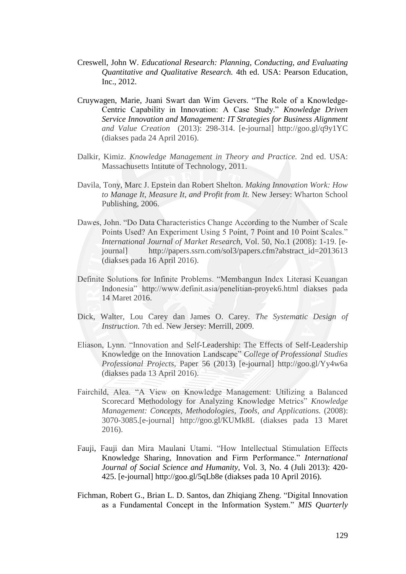- Creswell, John W. *Educational Research: Planning, Conducting, and Evaluating Quantitative and Qualitative Research.* 4th ed. USA: Pearson Education, Inc., 2012.
- Cruywagen, Marie, Juani Swart dan Wim Gevers. "The Role of a Knowledge-Centric Capability in Innovation: A Case Study." *Knowledge Driven Service Innovation and Management: IT Strategies for Business Alignment and Value Creation* (2013): 298-314. [e-journal] http://goo.gl/q9y1YC (diakses pada 24 April 2016).
- Dalkir, Kimiz. *Knowledge Management in Theory and Practice.* 2nd ed. USA: Massachusetts Intitute of Technology, 2011.
- Davila, Tony, Marc J. Epstein dan Robert Shelton. *Making Innovation Work: How to Manage It, Measure It, and Profit from It.* New Jersey: Wharton School Publishing, 2006.
- Dawes, John. "Do Data Characteristics Change According to the Number of Scale Points Used? An Experiment Using 5 Point, 7 Point and 10 Point Scales." *International Journal of Market Research,* Vol. 50, No.1 (2008): 1-19. [ejournal] http://papers.ssrn.com/sol3/papers.cfm?abstract\_id=2013613 (diakses pada 16 April 2016).
- Definite Solutions for Infinite Problems. "Membangun Index Literasi Keuangan Indonesia" http://www.definit.asia/penelitian-proyek6.html diakses pada 14 Maret 2016.
- Dick, Walter, Lou Carey dan James O. Carey. *The Systematic Design of Instruction.* 7th ed. New Jersey: Merrill, 2009.
- Eliason, Lynn. "Innovation and Self-Leadership: The Effects of Self-Leadership Knowledge on the Innovation Landscape" *College of Professional Studies Professional Projects,* Paper 56 (2013) [e-journal] http://goo.gl/Yy4w6a (diakses pada 13 April 2016).
- Fairchild, Alea. "A View on Knowledge Management: Utilizing a Balanced Scorecard Methodology for Analyzing Knowledge Metrics" *Knowledge Management: Concepts, Methodologies, Tools, and Applications.* (2008): 3070-3085.[e-journal] http://goo.gl/KUMk8L (diakses pada 13 Maret 2016).
- Fauji, Fauji dan Mira Maulani Utami. "How Intellectual Stimulation Effects Knowledge Sharing, Innovation and Firm Performance." *International Journal of Social Science and Humanity,* Vol. 3, No. 4 (Juli 2013): 420- 425. [e-journal] http://goo.gl/5qLb8e (diakses pada 10 April 2016).
- Fichman, Robert G., Brian L. D. Santos, dan Zhiqiang Zheng. "Digital Innovation as a Fundamental Concept in the Information System." *MIS Quarterly*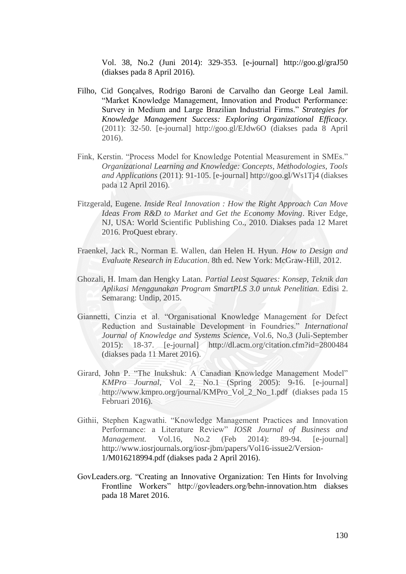Vol. 38, No.2 (Juni 2014): 329-353. [e-journal] http://goo.gl/graJ50 (diakses pada 8 April 2016).

- Filho, Cid Gonçalves, Rodrigo Baroni de Carvalho dan George Leal Jamil. "Market Knowledge Management, Innovation and Product Performance: Survey in Medium and Large Brazilian Industrial Firms." *Strategies for Knowledge Management Success: Exploring Organizational Efficacy.* (2011): 32-50. [e-journal] http://goo.gl/EJdw6O (diakses pada 8 April 2016).
- Fink, Kerstin. "Process Model for Knowledge Potential Measurement in SMEs." *Organizational Learning and Knowledge: Concepts, Methodologies, Tools and Applications* (2011): 91-105. [e-journal] http://goo.gl/Ws1Tj4 (diakses pada 12 April 2016).
- Fitzgerald, Eugene. *Inside Real Innovation : How the Right Approach Can Move Ideas From R&D to Market and Get the Economy Moving*. River Edge, NJ, USA: World Scientific Publishing Co., 2010. Diakses pada 12 Maret 2016. ProQuest ebrary.
- Fraenkel, Jack R., Norman E. Wallen, dan Helen H. Hyun. *How to Design and Evaluate Research in Education.* 8th ed. New York: McGraw-Hill, 2012.
- Ghozali, H. Imam dan Hengky Latan. *Partial Least Squares: Konsep, Teknik dan Aplikasi Menggunakan Program SmartPLS 3.0 untuk Penelitian.* Edisi 2. Semarang: Undip, 2015.
- Giannetti, Cinzia et al. "Organisational Knowledge Management for Defect Reduction and Sustainable Development in Foundries." *International Journal of Knowledge and Systems Science,* Vol.6, No.3 (Juli-September 2015): 18-37. [e-journal] http://dl.acm.org/citation.cfm?id=2800484 (diakses pada 11 Maret 2016).
- Girard, John P. "The Inukshuk: A Canadian Knowledge Management Model" *KMPro Journal,* Vol 2, No.1 (Spring 2005): 9-16. [e-journal] http://www.kmpro.org/journal/KMPro\_Vol\_2\_No\_1.pdf (diakses pada 15 Februari 2016).
- Githii, Stephen Kagwathi. "Knowledge Management Practices and Innovation Performance: a Literature Review" *IOSR Journal of Business and Management.* Vol.16, No.2 (Feb 2014): 89-94. [e-journal] http://www.iosrjournals.org/iosr-jbm/papers/Vol16-issue2/Version-1/M016218994.pdf (diakses pada 2 April 2016).
- GovLeaders.org. "Creating an Innovative Organization: Ten Hints for Involving Frontline Workers" http://govleaders.org/behn-innovation.htm diakses pada 18 Maret 2016.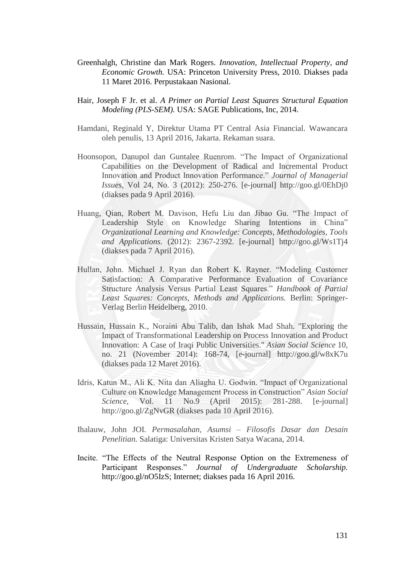- Greenhalgh, Christine dan Mark Rogers. *Innovation, Intellectual Property, and Economic Growth.* USA: Princeton University Press, 2010. Diakses pada 11 Maret 2016. Perpustakaan Nasional.
- Hair, Joseph F Jr. et al. *A Primer on Partial Least Squares Structural Equation Modeling (PLS-SEM).* USA: SAGE Publications, Inc, 2014.
- Hamdani, Reginald Y, Direktur Utama PT Central Asia Financial. Wawancara oleh penulis, 13 April 2016, Jakarta. Rekaman suara.
- Hoonsopon, Danupol dan Guntalee Ruenrom. "The Impact of Organizational Capabilities on the Development of Radical and Incremental Product Innovation and Product Innovation Performance." *Journal of Managerial Issues,* Vol 24, No. 3 (2012): 250-276. [e-journal] http://goo.gl/0EhDj0 (diakses pada 9 April 2016).
- Huang, Qian, Robert M. Davison, Hefu Liu dan Jibao Gu. "The Impact of Leadership Style on Knowledge Sharing Intentions in China" *Organizational Learning and Knowledge: Concepts, Methodologies, Tools and Applications.* (2012): 2367-2392. [e-journal] http://goo.gl/Ws1Tj4 (diakses pada 7 April 2016).
- Hullan, John. Michael J. Ryan dan Robert K. Rayner. "Modeling Customer Satisfaction: A Comparative Performance Evaluation of Covariance Structure Analysis Versus Partial Least Squares." *Handbook of Partial Least Squares: Concepts, Methods and Applications.* Berlin: Springer-Verlag Berlin Heidelberg, 2010.
- Hussain, Hussain K., Noraini Abu Talib, dan Ishak Mad Shah. "Exploring the Impact of Transformational Leadership on Process Innovation and Product Innovation: A Case of Iraqi Public Universities." *Asian Social Science* 10, no. 21 (November 2014): 168-74, [e-journal] http://goo.gl/w8xK7u (diakses pada 12 Maret 2016).
- Idris, Katun M., Ali K. Nita dan Aliagha U. Godwin. "Impact of Organizational Culture on Knowledge Management Process in Construction" *Asian Social Science,* Vol. 11 No.9 (April 2015): 281-288. [e-journal] http://goo.gl/ZgNvGR (diakses pada 10 April 2016).
- Ihalauw, John JOI. *Permasalahan, Asumsi – Filosofis Dasar dan Desain Penelitian.* Salatiga: Universitas Kristen Satya Wacana, 2014.
- Incite. "The Effects of the Neutral Response Option on the Extremeness of Participant Responses." *Journal of Undergraduate Scholarship.*  http://goo.gl/nO5IzS; Internet; diakses pada 16 April 2016.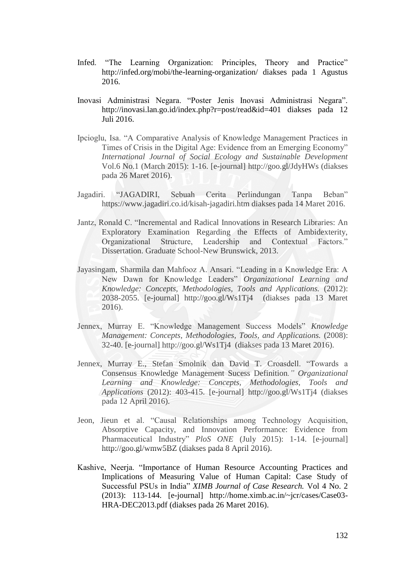- Infed. "The Learning Organization: Principles, Theory and Practice" http://infed.org/mobi/the-learning-organization/ diakses pada 1 Agustus 2016.
- Inovasi Administrasi Negara. "Poster Jenis Inovasi Administrasi Negara". http://inovasi.lan.go.id/index.php?r=post/read&id=401 diakses pada 12 Juli 2016.
- Ipcioglu, Isa. "A Comparative Analysis of Knowledge Management Practices in Times of Crisis in the Digital Age: Evidence from an Emerging Economy" *International Journal of Social Ecology and Sustainable Development*  Vol.6 No.1 (March 2015): 1-16. [e-journal] http://goo.gl/JdyHWs (diakses pada 26 Maret 2016).
- Jagadiri. "JAGADIRI, Sebuah Cerita Perlindungan Tanpa Beban" https://www.jagadiri.co.id/kisah-jagadiri.htm diakses pada 14 Maret 2016.
- Jantz, Ronald C. "Incremental and Radical Innovations in Research Libraries: An Exploratory Examination Regarding the Effects of Ambidexterity, Organizational Structure, Leadership and Contextual Factors." Dissertation. Graduate School-New Brunswick, 2013.
- Jayasingam, Sharmila dan Mahfooz A. Ansari. "Leading in a Knowledge Era: A New Dawn for Knowledge Leaders" *Organizational Learning and Knowledge: Concepts, Methodologies, Tools and Applications.* (2012): 2038-2055. [e-journal] http://goo.gl/Ws1Tj4 (diakses pada 13 Maret 2016).
- Jennex, Murray E. "Knowledge Management Success Models" *Knowledge Management: Concepts, Methodologies, Tools, and Applications.* (2008): 32-40. [e-journal] http://goo.gl/Ws1Tj4 (diakses pada 13 Maret 2016).
- Jennex, Murray E., Stefan Smolnik dan David T. Croasdell. "Towards a Consensus Knowledge Management Sucess Definition*." Organizational Learning and Knowledge: Concepts, Methodologies, Tools and Applications* (2012): 403-415. [e-journal] http://goo.gl/Ws1Tj4 (diakses pada 12 April 2016).
- Jeon, Jieun et al. "Causal Relationships among Technology Acquisition, Absorptive Capacity, and Innovation Performance: Evidence from Pharmaceutical Industry" *PloS ONE* (July 2015): 1-14. [e-journal] http://goo.gl/wmw5BZ (diakses pada 8 April 2016).
- Kashive, Neerja. "Importance of Human Resource Accounting Practices and Implications of Measuring Value of Human Capital: Case Study of Successful PSUs in India" *XIMB Journal of Case Research.* Vol 4 No. 2 (2013): 113-144. [e-journal] http://home.ximb.ac.in/~jcr/cases/Case03- HRA-DEC2013.pdf (diakses pada 26 Maret 2016).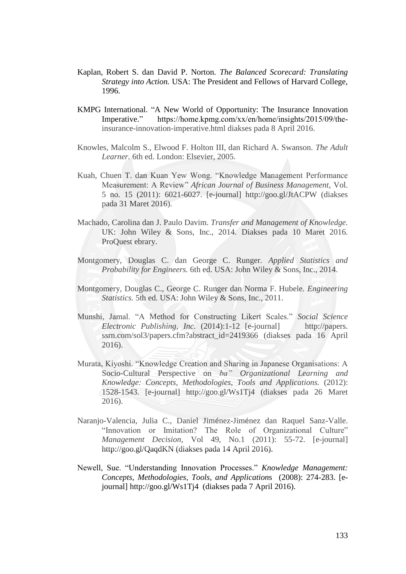- Kaplan, Robert S. dan David P. Norton. *The Balanced Scorecard: Translating Strategy into Action.* USA: The President and Fellows of Harvard College, 1996.
- KMPG International. "A New World of Opportunity: The Insurance Innovation Imperative." https://home.kpmg.com/xx/en/home/insights/2015/09/theinsurance-innovation-imperative.html diakses pada 8 April 2016.
- Knowles, Malcolm S., Elwood F. Holton III, dan Richard A. Swanson. *The Adult Learner.* 6th ed. London: Elsevier, 2005.
- Kuah, Chuen T. dan Kuan Yew Wong. "Knowledge Management Performance Measurement: A Review" *African Journal of Business Management,* Vol. 5 no. 15 (2011): 6021-6027. [e-journal] http://goo.gl/JtACPW (diakses pada 31 Maret 2016).
- Machado, Carolina dan J. Paulo Davim. *Transfer and Management of Knowledge.*  UK: John Wiley & Sons, Inc., 2014. Diakses pada 10 Maret 2016. ProQuest ebrary.
- Montgomery, Douglas C. dan George C. Runger. *Applied Statistics and Probability for Engineers.* 6th ed. USA: John Wiley & Sons, Inc., 2014.
- Montgomery, Douglas C., George C. Runger dan Norma F. Hubele. *Engineering Statistics.* 5th ed. USA: John Wiley & Sons, Inc., 2011.
- Munshi, Jamal. "A Method for Constructing Likert Scales." *Social Science Electronic Publishing, Inc.* (2014):1-12 [e-journal] http://papers. ssrn.com/sol3/papers.cfm?abstract\_id=2419366 (diakses pada 16 April 2016).
- Murata, Kiyoshi. "Knowledge Creation and Sharing in Japanese Organisations: A Socio-Cultural Perspective on *ba" Organizational Learning and Knowledge: Concepts, Methodologies, Tools and Applications.* (2012): 1528-1543. [e-journal] http://goo.gl/Ws1Tj4 (diakses pada 26 Maret 2016).
- Naranjo-Valencia, Julia C., Daniel Jiménez-Jiménez dan Raquel Sanz-Valle. "Innovation or Imitation? The Role of Organizational Culture" *Management Decision,* Vol 49, No.1 (2011): 55-72. [e-journal] http://goo.gl/QaqdKN (diakses pada 14 April 2016).
- Newell, Sue. "Understanding Innovation Processes." *Knowledge Management: Concepts, Methodologies, Tools, and Application*s (2008): 274-283. [ejournal] http://goo.gl/Ws1Tj4 (diakses pada 7 April 2016).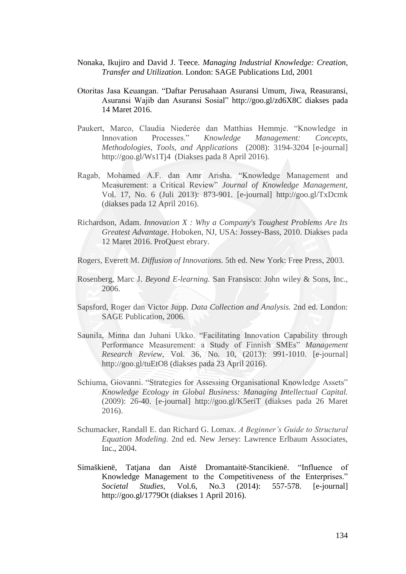- Nonaka, Ikujiro and David J. Teece. *Managing Industrial Knowledge: Creation, Transfer and Utilization.* London: SAGE Publications Ltd, 2001
- Otoritas Jasa Keuangan. "Daftar Perusahaan Asuransi Umum, Jiwa, Reasuransi, Asuransi Wajib dan Asuransi Sosial" http://goo.gl/zd6X8C diakses pada 14 Maret 2016.
- Paukert, Marco, Claudia Niederée dan Matthias Hemmje. "Knowledge in Innovation Processes." *Knowledge Management: Concepts, Methodologies, Tools, and Applications* (2008): 3194-3204 [e-journal] http://goo.gl/Ws1Tj4 (Diakses pada 8 April 2016).
- Ragab, Mohamed A.F. dan Amr Arisha. "Knowledge Management and Measurement: a Critical Review" *Journal of Knowledge Management,*  Vol. 17, No. 6 (Juli 2013): 873-901. [e-journal] http://goo.gl/TxDcmk (diakses pada 12 April 2016).
- Richardson, Adam. *Innovation X : Why a Company's Toughest Problems Are Its Greatest Advantage*. Hoboken, NJ, USA: Jossey-Bass, 2010. Diakses pada 12 Maret 2016. ProQuest ebrary.
- Rogers, Everett M. *Diffusion of Innovations.* 5th ed. New York: Free Press, 2003.
- Rosenberg, Marc J. *Beyond E-learning.* San Fransisco: John wiley & Sons, Inc., 2006.
- Sapsford, Roger dan Victor Jupp. *Data Collection and Analysis.* 2nd ed. London: SAGE Publication, 2006.
- Saunila, Minna dan Juhani Ukko. "Facilitating Innovation Capability through Performance Measurement: a Study of Finnish SMEs" *Management Research Review,* Vol. 36, No. 10, (2013): 991-1010. [e-journal] http://goo.gl/tuEtO8 (diakses pada 23 April 2016).
- Schiuma, Giovanni. "Strategies for Assessing Organisational Knowledge Assets" *Knowledge Ecology in Global Business: Managing Intellectual Capital.*  (2009): 26-40. [e-journal] http://goo.gl/K5eriT (diakses pada 26 Maret 2016).
- Schumacker, Randall E. dan Richard G. Lomax. *A Beginner's Guide to Structural Equation Modeling.* 2nd ed. New Jersey: Lawrence Erlbaum Associates, Inc., 2004.
- Simaškienë, Tatjana dan Aistë Dromantaitë-Stancikienë. "Influence of Knowledge Management to the Competitiveness of the Enterprises." *Societal Studies,* Vol.6, No.3 (2014): 557-578. [e-journal] http://goo.gl/1779Ot (diakses 1 April 2016).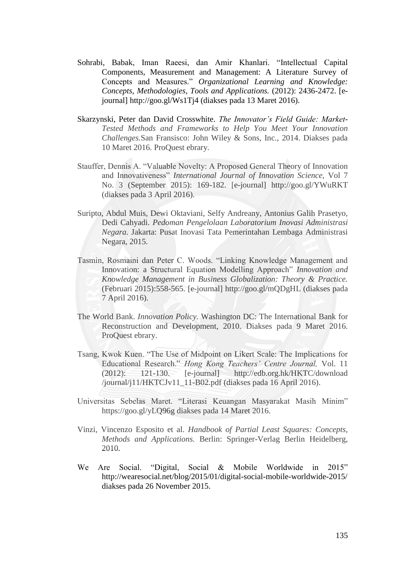- Sohrabi, Babak, Iman Raeesi, dan Amir Khanlari. "Intellectual Capital Components, Measurement and Management: A Literature Survey of Concepts and Measures." *Organizational Learning and Knowledge: Concepts, Methodologies, Tools and Applications.* (2012): 2436-2472. [ejournal] http://goo.gl/Ws1Tj4 (diakses pada 13 Maret 2016).
- Skarzynski, Peter dan David Crosswhite. *The Innovator's Field Guide: Market-Tested Methods and Frameworks to Help You Meet Your Innovation Challenges.*San Fransisco: John Wiley & Sons, Inc., 2014. Diakses pada 10 Maret 2016. ProQuest ebrary.
- Stauffer, Dennis A. "Valuable Novelty: A Proposed General Theory of Innovation and Innovativeness" *International Journal of Innovation Science,* Vol 7 No. 3 (September 2015): 169-182. [e-journal] http://goo.gl/YWuRKT (diakses pada 3 April 2016).
- Suripto, Abdul Muis, Dewi Oktaviani, Selfy Andreany, Antonius Galih Prasetyo, Dedi Cahyadi. *Pedoman Pengelolaan Laboratorium Inovasi Administrasi Negara.* Jakarta: Pusat Inovasi Tata Pemerintahan Lembaga Administrasi Negara, 2015.
- Tasmin, Rosmaini dan Peter C. Woods. "Linking Knowledge Management and Innovation: a Structural Equation Modelling Approach" *Innovation and Knowledge Management in Business Globalization: Theory & Practice.*  (Februari 2015):558-565. [e-journal] http://goo.gl/mQDgHL (diakses pada 7 April 2016).
- The World Bank. *Innovation Policy.* Washington DC: The International Bank for Reconstruction and Development, 2010. Diakses pada 9 Maret 2016. ProQuest ebrary.
- Tsang, Kwok Kuen. "The Use of Midpoint on Likert Scale: The Implications for Educational Research." *Hong Kong Teachers' Centre Journal,* Vol. 11 (2012): 121-130. [e-journal] http://edb.org.hk/HKTC/download /journal/j11/HKTCJv11\_11-B02.pdf (diakses pada 16 April 2016).
- Universitas Sebelas Maret. "Literasi Keuangan Masyarakat Masih Minim" https://goo.gl/yLQ96g diakses pada 14 Maret 2016.
- Vinzi, Vincenzo Esposito et al. *Handbook of Partial Least Squares: Concepts, Methods and Applications.* Berlin: Springer-Verlag Berlin Heidelberg, 2010.
- We Are Social. "Digital, Social & Mobile Worldwide in 2015" http://wearesocial.net/blog/2015/01/digital-social-mobile-worldwide-2015/ diakses pada 26 November 2015.